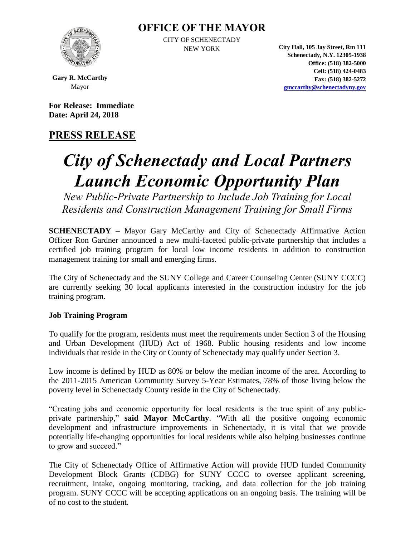### **OFFICE OF THE MAYOR**



CITY OF SCHENECTADY

NEW YORK **City Hall, 105 Jay Street, Rm 111 Schenectady, N.Y. 12305-1938 Office: (518) 382-5000 Cell: (518) 424-0483 Fax: (518) 382-5272 [gmccarthy@schenectadyny.gov](mailto:gmccarthy@schenectadyny.gov)**

**Gary R. McCarthy** Mayor

**For Release: Immediate Date: April 24, 2018**

## **PRESS RELEASE**

# *City of Schenectady and Local Partners Launch Economic Opportunity Plan*

*New Public-Private Partnership to Include Job Training for Local Residents and Construction Management Training for Small Firms*

**SCHENECTADY** – Mayor Gary McCarthy and City of Schenectady Affirmative Action Officer Ron Gardner announced a new multi-faceted public-private partnership that includes a certified job training program for local low income residents in addition to construction management training for small and emerging firms.

The City of Schenectady and the SUNY College and Career Counseling Center (SUNY CCCC) are currently seeking 30 local applicants interested in the construction industry for the job training program.

#### **Job Training Program**

To qualify for the program, residents must meet the requirements under Section 3 of the Housing and Urban Development (HUD) Act of 1968. Public housing residents and low income individuals that reside in the City or County of Schenectady may qualify under Section 3.

Low income is defined by HUD as 80% or below the median income of the area. According to the 2011-2015 American Community Survey 5-Year Estimates, 78% of those living below the poverty level in Schenectady County reside in the City of Schenectady.

"Creating jobs and economic opportunity for local residents is the true spirit of any publicprivate partnership," **said Mayor McCarthy**. "With all the positive ongoing economic development and infrastructure improvements in Schenectady, it is vital that we provide potentially life-changing opportunities for local residents while also helping businesses continue to grow and succeed."

The City of Schenectady Office of Affirmative Action will provide HUD funded Community Development Block Grants (CDBG) for SUNY CCCC to oversee applicant screening, recruitment, intake, ongoing monitoring, tracking, and data collection for the job training program. SUNY CCCC will be accepting applications on an ongoing basis. The training will be of no cost to the student.